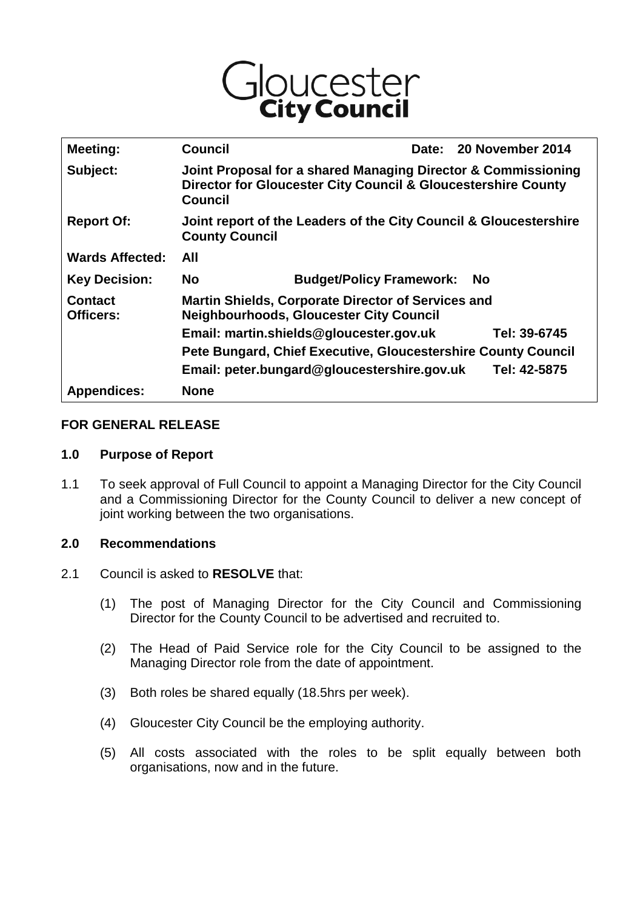

| Meeting:                           | <b>Council</b>                                                                                                                            |                                 | Date: |           | 20 November 2014 |
|------------------------------------|-------------------------------------------------------------------------------------------------------------------------------------------|---------------------------------|-------|-----------|------------------|
| Subject:                           | Joint Proposal for a shared Managing Director & Commissioning<br>Director for Gloucester City Council & Gloucestershire County<br>Council |                                 |       |           |                  |
| <b>Report Of:</b>                  | Joint report of the Leaders of the City Council & Gloucestershire<br><b>County Council</b>                                                |                                 |       |           |                  |
| <b>Wards Affected:</b>             | All                                                                                                                                       |                                 |       |           |                  |
| <b>Key Decision:</b>               | <b>No</b>                                                                                                                                 | <b>Budget/Policy Framework:</b> |       | <b>No</b> |                  |
| <b>Contact</b><br><b>Officers:</b> | <b>Martin Shields, Corporate Director of Services and</b><br><b>Neighbourhoods, Gloucester City Council</b>                               |                                 |       |           |                  |
|                                    | Email: martin.shields@gloucester.gov.uk                                                                                                   |                                 |       |           | Tel: 39-6745     |
|                                    | Pete Bungard, Chief Executive, Gloucestershire County Council                                                                             |                                 |       |           |                  |
|                                    | Email: peter.bungard@gloucestershire.gov.uk                                                                                               |                                 |       |           | Tel: 42-5875     |
| <b>Appendices:</b>                 | <b>None</b>                                                                                                                               |                                 |       |           |                  |

## **FOR GENERAL RELEASE**

#### **1.0 Purpose of Report**

1.1 To seek approval of Full Council to appoint a Managing Director for the City Council and a Commissioning Director for the County Council to deliver a new concept of joint working between the two organisations.

## **2.0 Recommendations**

- 2.1 Council is asked to **RESOLVE** that:
	- (1) The post of Managing Director for the City Council and Commissioning Director for the County Council to be advertised and recruited to.
	- (2) The Head of Paid Service role for the City Council to be assigned to the Managing Director role from the date of appointment.
	- (3) Both roles be shared equally (18.5hrs per week).
	- (4) Gloucester City Council be the employing authority.
	- (5) All costs associated with the roles to be split equally between both organisations, now and in the future.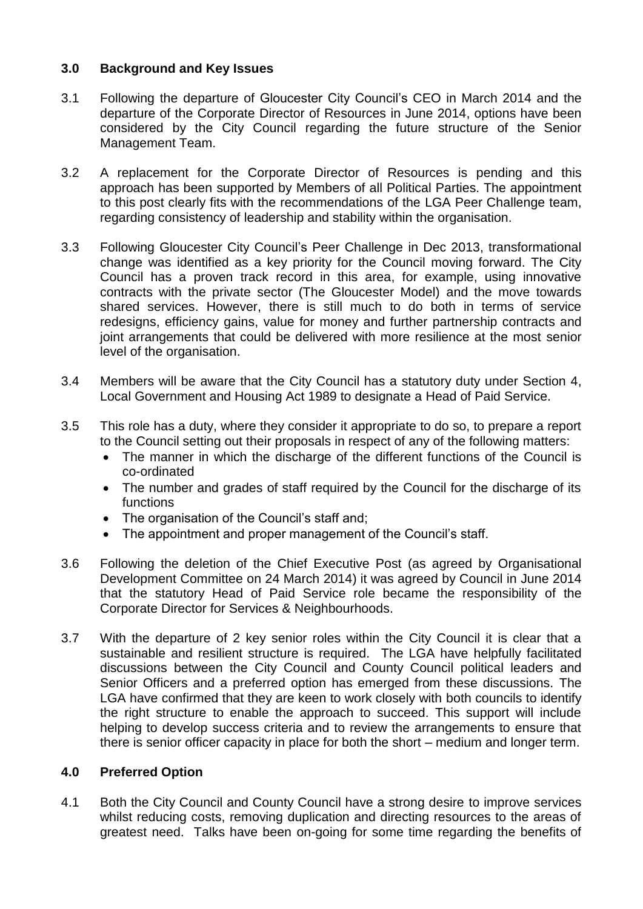# **3.0 Background and Key Issues**

- 3.1 Following the departure of Gloucester City Council's CEO in March 2014 and the departure of the Corporate Director of Resources in June 2014, options have been considered by the City Council regarding the future structure of the Senior Management Team.
- 3.2 A replacement for the Corporate Director of Resources is pending and this approach has been supported by Members of all Political Parties. The appointment to this post clearly fits with the recommendations of the LGA Peer Challenge team, regarding consistency of leadership and stability within the organisation.
- 3.3 Following Gloucester City Council's Peer Challenge in Dec 2013, transformational change was identified as a key priority for the Council moving forward. The City Council has a proven track record in this area, for example, using innovative contracts with the private sector (The Gloucester Model) and the move towards shared services. However, there is still much to do both in terms of service redesigns, efficiency gains, value for money and further partnership contracts and joint arrangements that could be delivered with more resilience at the most senior level of the organisation.
- 3.4 Members will be aware that the City Council has a statutory duty under Section 4, Local Government and Housing Act 1989 to designate a Head of Paid Service.
- 3.5 This role has a duty, where they consider it appropriate to do so, to prepare a report to the Council setting out their proposals in respect of any of the following matters:
	- The manner in which the discharge of the different functions of the Council is co-ordinated
	- The number and grades of staff required by the Council for the discharge of its functions
	- The organisation of the Council's staff and;
	- The appointment and proper management of the Council's staff.
- 3.6 Following the deletion of the Chief Executive Post (as agreed by Organisational Development Committee on 24 March 2014) it was agreed by Council in June 2014 that the statutory Head of Paid Service role became the responsibility of the Corporate Director for Services & Neighbourhoods.
- 3.7 With the departure of 2 key senior roles within the City Council it is clear that a sustainable and resilient structure is required. The LGA have helpfully facilitated discussions between the City Council and County Council political leaders and Senior Officers and a preferred option has emerged from these discussions. The LGA have confirmed that they are keen to work closely with both councils to identify the right structure to enable the approach to succeed. This support will include helping to develop success criteria and to review the arrangements to ensure that there is senior officer capacity in place for both the short – medium and longer term.

## **4.0 Preferred Option**

4.1 Both the City Council and County Council have a strong desire to improve services whilst reducing costs, removing duplication and directing resources to the areas of greatest need. Talks have been on-going for some time regarding the benefits of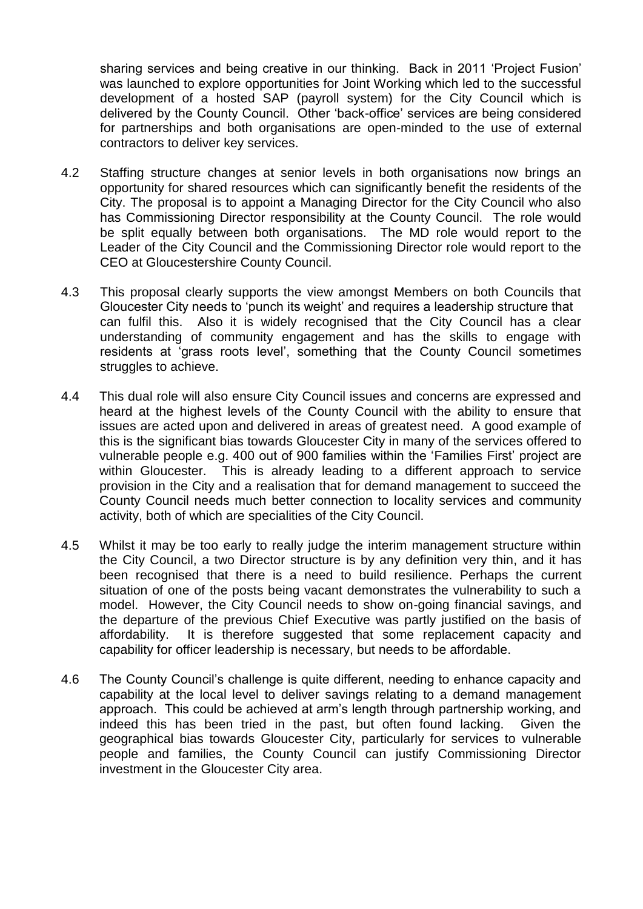sharing services and being creative in our thinking. Back in 2011 'Project Fusion' was launched to explore opportunities for Joint Working which led to the successful development of a hosted SAP (payroll system) for the City Council which is delivered by the County Council. Other 'back-office' services are being considered for partnerships and both organisations are open-minded to the use of external contractors to deliver key services.

- 4.2 Staffing structure changes at senior levels in both organisations now brings an opportunity for shared resources which can significantly benefit the residents of the City. The proposal is to appoint a Managing Director for the City Council who also has Commissioning Director responsibility at the County Council. The role would be split equally between both organisations. The MD role would report to the Leader of the City Council and the Commissioning Director role would report to the CEO at Gloucestershire County Council.
- 4.3 This proposal clearly supports the view amongst Members on both Councils that Gloucester City needs to 'punch its weight' and requires a leadership structure that can fulfil this. Also it is widely recognised that the City Council has a clear understanding of community engagement and has the skills to engage with residents at 'grass roots level', something that the County Council sometimes struggles to achieve.
- 4.4 This dual role will also ensure City Council issues and concerns are expressed and heard at the highest levels of the County Council with the ability to ensure that issues are acted upon and delivered in areas of greatest need. A good example of this is the significant bias towards Gloucester City in many of the services offered to vulnerable people e.g. 400 out of 900 families within the 'Families First' project are within Gloucester. This is already leading to a different approach to service provision in the City and a realisation that for demand management to succeed the County Council needs much better connection to locality services and community activity, both of which are specialities of the City Council.
- 4.5 Whilst it may be too early to really judge the interim management structure within the City Council, a two Director structure is by any definition very thin, and it has been recognised that there is a need to build resilience. Perhaps the current situation of one of the posts being vacant demonstrates the vulnerability to such a model. However, the City Council needs to show on-going financial savings, and the departure of the previous Chief Executive was partly justified on the basis of affordability. It is therefore suggested that some replacement capacity and capability for officer leadership is necessary, but needs to be affordable.
- 4.6 The County Council's challenge is quite different, needing to enhance capacity and capability at the local level to deliver savings relating to a demand management approach. This could be achieved at arm's length through partnership working, and indeed this has been tried in the past, but often found lacking. Given the geographical bias towards Gloucester City, particularly for services to vulnerable people and families, the County Council can justify Commissioning Director investment in the Gloucester City area.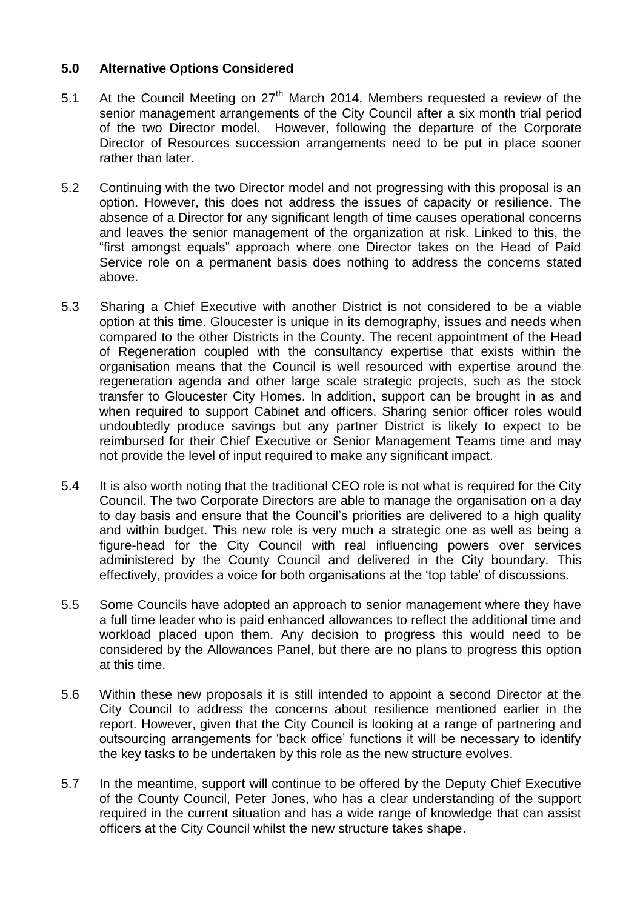# **5.0 Alternative Options Considered**

- 5.1 At the Council Meeting on  $27<sup>th</sup>$  March 2014, Members requested a review of the senior management arrangements of the City Council after a six month trial period of the two Director model. However, following the departure of the Corporate Director of Resources succession arrangements need to be put in place sooner rather than later.
- 5.2 Continuing with the two Director model and not progressing with this proposal is an option. However, this does not address the issues of capacity or resilience. The absence of a Director for any significant length of time causes operational concerns and leaves the senior management of the organization at risk. Linked to this, the "first amongst equals" approach where one Director takes on the Head of Paid Service role on a permanent basis does nothing to address the concerns stated above.
- 5.3 Sharing a Chief Executive with another District is not considered to be a viable option at this time. Gloucester is unique in its demography, issues and needs when compared to the other Districts in the County. The recent appointment of the Head of Regeneration coupled with the consultancy expertise that exists within the organisation means that the Council is well resourced with expertise around the regeneration agenda and other large scale strategic projects, such as the stock transfer to Gloucester City Homes. In addition, support can be brought in as and when required to support Cabinet and officers. Sharing senior officer roles would undoubtedly produce savings but any partner District is likely to expect to be reimbursed for their Chief Executive or Senior Management Teams time and may not provide the level of input required to make any significant impact.
- 5.4 It is also worth noting that the traditional CEO role is not what is required for the City Council. The two Corporate Directors are able to manage the organisation on a day to day basis and ensure that the Council's priorities are delivered to a high quality and within budget. This new role is very much a strategic one as well as being a figure-head for the City Council with real influencing powers over services administered by the County Council and delivered in the City boundary. This effectively, provides a voice for both organisations at the 'top table' of discussions.
- 5.5 Some Councils have adopted an approach to senior management where they have a full time leader who is paid enhanced allowances to reflect the additional time and workload placed upon them. Any decision to progress this would need to be considered by the Allowances Panel, but there are no plans to progress this option at this time.
- 5.6 Within these new proposals it is still intended to appoint a second Director at the City Council to address the concerns about resilience mentioned earlier in the report. However, given that the City Council is looking at a range of partnering and outsourcing arrangements for 'back office' functions it will be necessary to identify the key tasks to be undertaken by this role as the new structure evolves.
- 5.7 In the meantime, support will continue to be offered by the Deputy Chief Executive of the County Council, Peter Jones, who has a clear understanding of the support required in the current situation and has a wide range of knowledge that can assist officers at the City Council whilst the new structure takes shape.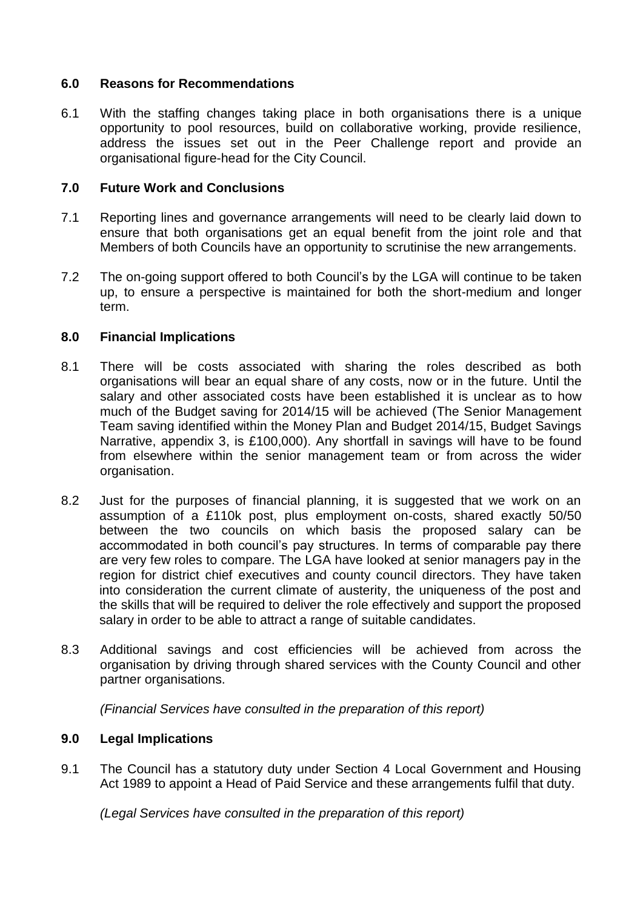## **6.0 Reasons for Recommendations**

6.1 With the staffing changes taking place in both organisations there is a unique opportunity to pool resources, build on collaborative working, provide resilience, address the issues set out in the Peer Challenge report and provide an organisational figure-head for the City Council.

# **7.0 Future Work and Conclusions**

- 7.1 Reporting lines and governance arrangements will need to be clearly laid down to ensure that both organisations get an equal benefit from the joint role and that Members of both Councils have an opportunity to scrutinise the new arrangements.
- 7.2 The on-going support offered to both Council's by the LGA will continue to be taken up, to ensure a perspective is maintained for both the short-medium and longer term.

## **8.0 Financial Implications**

- 8.1 There will be costs associated with sharing the roles described as both organisations will bear an equal share of any costs, now or in the future. Until the salary and other associated costs have been established it is unclear as to how much of the Budget saving for 2014/15 will be achieved (The Senior Management Team saving identified within the Money Plan and Budget 2014/15, Budget Savings Narrative, appendix 3, is £100,000). Any shortfall in savings will have to be found from elsewhere within the senior management team or from across the wider organisation.
- 8.2 Just for the purposes of financial planning, it is suggested that we work on an assumption of a £110k post, plus employment on-costs, shared exactly 50/50 between the two councils on which basis the proposed salary can be accommodated in both council's pay structures. In terms of comparable pay there are very few roles to compare. The LGA have looked at senior managers pay in the region for district chief executives and county council directors. They have taken into consideration the current climate of austerity, the uniqueness of the post and the skills that will be required to deliver the role effectively and support the proposed salary in order to be able to attract a range of suitable candidates.
- 8.3 Additional savings and cost efficiencies will be achieved from across the organisation by driving through shared services with the County Council and other partner organisations.

*(Financial Services have consulted in the preparation of this report)*

## **9.0 Legal Implications**

9.1 The Council has a statutory duty under Section 4 Local Government and Housing Act 1989 to appoint a Head of Paid Service and these arrangements fulfil that duty.

*(Legal Services have consulted in the preparation of this report)*